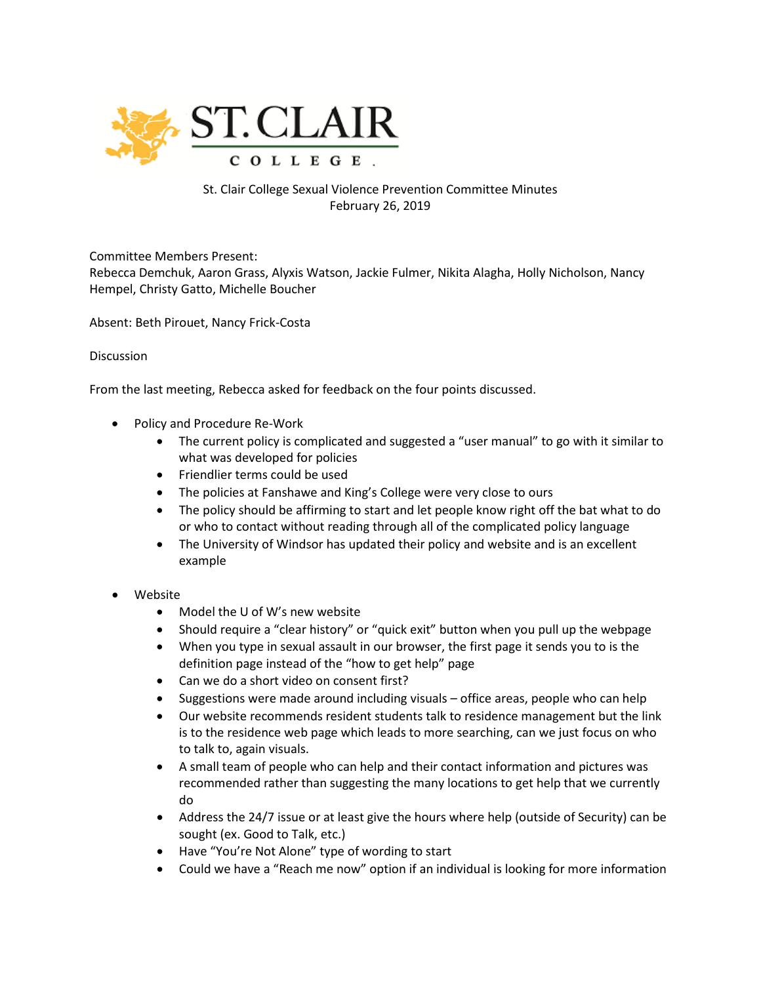

## St. Clair College Sexual Violence Prevention Committee Minutes February 26, 2019

Committee Members Present:

Rebecca Demchuk, Aaron Grass, Alyxis Watson, Jackie Fulmer, Nikita Alagha, Holly Nicholson, Nancy Hempel, Christy Gatto, Michelle Boucher

Absent: Beth Pirouet, Nancy Frick-Costa

## **Discussion**

From the last meeting, Rebecca asked for feedback on the four points discussed.

- Policy and Procedure Re-Work
	- The current policy is complicated and suggested a "user manual" to go with it similar to what was developed for policies
	- Friendlier terms could be used
	- The policies at Fanshawe and King's College were very close to ours
	- The policy should be affirming to start and let people know right off the bat what to do or who to contact without reading through all of the complicated policy language
	- The University of Windsor has updated their policy and website and is an excellent example
- Website
	- Model the U of W's new website
	- Should require a "clear history" or "quick exit" button when you pull up the webpage
	- When you type in sexual assault in our browser, the first page it sends you to is the definition page instead of the "how to get help" page
	- Can we do a short video on consent first?
	- Suggestions were made around including visuals office areas, people who can help
	- Our website recommends resident students talk to residence management but the link is to the residence web page which leads to more searching, can we just focus on who to talk to, again visuals.
	- A small team of people who can help and their contact information and pictures was recommended rather than suggesting the many locations to get help that we currently do
	- Address the 24/7 issue or at least give the hours where help (outside of Security) can be sought (ex. Good to Talk, etc.)
	- Have "You're Not Alone" type of wording to start
	- Could we have a "Reach me now" option if an individual is looking for more information